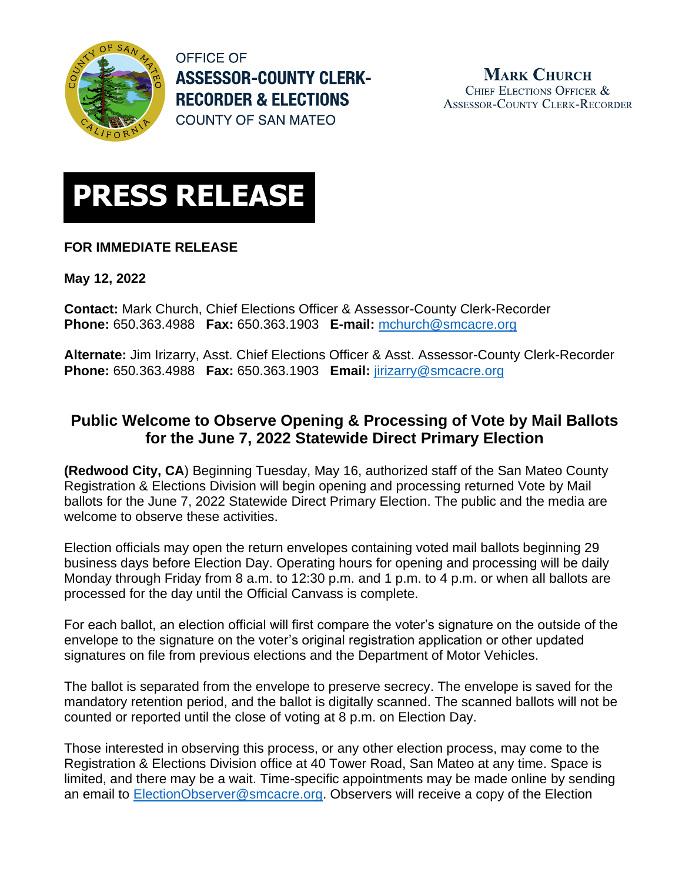

**OFFICE OF ASSESSOR-COUNTY CLERK-RECORDER & ELECTIONS COUNTY OF SAN MATEO** 

**MARK CHURCH** CHIEF ELECTIONS OFFICER & **ASSESSOR-COUNTY CLERK-RECORDER** 



## **FOR IMMEDIATE RELEASE**

**May 12, 2022**

**Contact:** Mark Church, Chief Elections Officer & Assessor-County Clerk-Recorder **Phone:** 650.363.4988 **Fax:** 650.363.1903 **E-mail:** [mchurch@smcacre.org](mailto:mchurch@smcacre.org)

**Alternate:** Jim Irizarry, Asst. Chief Elections Officer & Asst. Assessor-County Clerk-Recorder **Phone:** 650.363.4988 **Fax:** 650.363.1903 **Email:** [jirizarry@smcacre.org](mailto:jirizarry@smcacre.org)

## **Public Welcome to Observe Opening & Processing of Vote by Mail Ballots for the June 7, 2022 Statewide Direct Primary Election**

**(Redwood City, CA**) Beginning Tuesday, May 16, authorized staff of the San Mateo County Registration & Elections Division will begin opening and processing returned Vote by Mail ballots for the June 7, 2022 Statewide Direct Primary Election. The public and the media are welcome to observe these activities.

Election officials may open the return envelopes containing voted mail ballots beginning 29 business days before Election Day. Operating hours for opening and processing will be daily Monday through Friday from 8 a.m. to 12:30 p.m. and 1 p.m. to 4 p.m. or when all ballots are processed for the day until the Official Canvass is complete.

For each ballot, an election official will first compare the voter's signature on the outside of the envelope to the signature on the voter's original registration application or other updated signatures on file from previous elections and the Department of Motor Vehicles.

The ballot is separated from the envelope to preserve secrecy. The envelope is saved for the mandatory retention period, and the ballot is digitally scanned. The scanned ballots will not be counted or reported until the close of voting at 8 p.m. on Election Day.

Those interested in observing this process, or any other election process, may come to the Registration & Elections Division office at 40 Tower Road, San Mateo at any time. Space is limited, and there may be a wait. Time-specific appointments may be made online by sending an email to [ElectionObserver@smcacre.org.](mailto:ElectionObserver@smcacre.org) Observers will receive a copy of the Election